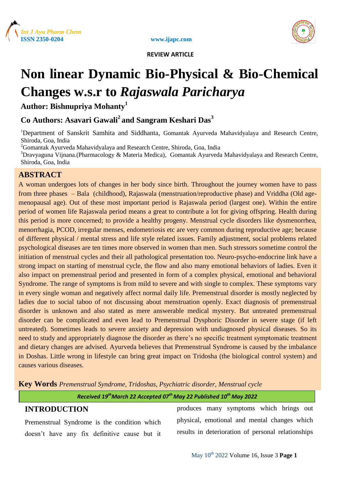

www.ijapc.com



 **REVIEW ARTICLE**

# **Non linear Dynamic Bio-Physical & Bio-Chemical Changes w.s.r to** *Rajaswala Paricharya*

**Author: Bishnupriya Mohanty<sup>1</sup>**

# **Co Authors: Asavari Gawali<sup>2</sup>and Sangram Keshari Das<sup>3</sup>**

<sup>1</sup>Department of Sanskrit Samhita and Siddhanta, Gomantak Ayurveda Mahavidyalaya and Research Centre, Shiroda, Goa, India

<sup>2</sup>Gomantak Ayurveda Mahavidyalaya and Research Centre, Shiroda, Goa, India

<sup>3</sup>Dravyaguna Vijnana.(Pharmacology & Materia Medica), Gomantak Ayurveda Mahavidyalaya and Research Centre, Shiroda, Goa, India

# **ABSTRACT**

A woman undergoes lots of changes in her body since birth. Throughout the journey women have to pass from three phases – Bala (childhood), Rajaswala (menstruation/reproductive phase) and Vriddha (Old agemenopausal age). Out of these most important period is Rajaswala period (largest one). Within the entire period of women life Rajaswala period means a great to contribute a lot for giving offspring. Health during this period is more concerned; to provide a healthy progeny. Menstrual cycle disorders like dysmenorrhea, menorrhagia, PCOD, irregular menses, endometriosis etc are very common during reproductive age; because of different physical / mental stress and life style related issues. Family adjustment, social problems related psychological diseases are ten times more observed in women than men. Such stressors sometime control the initiation of menstrual cycles and their all pathological presentation too. Neuro-psycho-endocrine link have a strong impact on starting of menstrual cycle, the flow and also many emotional behaviors of ladies. Even it also impact on premenstrual period and presented in form of a complex physical, emotional and behavioral Syndrome. The range of symptoms is from mild to severe and with single to complex. These symptoms vary in every single woman and negatively affect normal daily life. Premenstrual disorder is mostly neglected by ladies due to social taboo of not discussing about menstruation openly. Exact diagnosis of premenstrual disorder is unknown and also stated as mere answerable medical mystery. But untreated premenstrual disorder can be complicated and even lead to Premenstrual Dysphoric Disorder in severe stage (if left untreated). Sometimes leads to severe anxiety and depression with undiagnosed physical diseases. So its need to study and appropriately diagnose the disorder as there's no specific treatment symptomatic treatment and dietary changes are advised. Ayurveda believes that Premenstrual Syndrome is caused by the imbalance in Doshas. Little wrong in lifestyle can bring great impact on Tridosha (the biological control system) and causes various diseases.

**Key Words** *Premenstrual Syndrome, Tridoshas, Psychiatric disorder, Menstrual cycle*

## *Received 19thMarch 22 Accepted 07th May 22 Published 10th May 2022*

# **INTRODUCTION**

Premenstrual Syndrome is the condition which doesn't have any fix definitive cause but it

produces many symptoms which brings out physical, emotional and mental changes which results in deterioration of personal relationships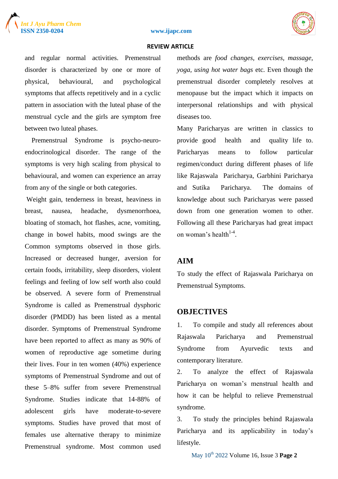

#### **ISSN 2350-0204 www.ijapc.com**

#### **REVIEW ARTICLE**

and regular normal activities. Premenstrual disorder is characterized by one or more of physical, behavioural, and psychological symptoms that affects repetitively and in a cyclic pattern in association with the luteal phase of the menstrual cycle and the girls are symptom free between two luteal phases.

 Premenstrual Syndrome is psycho-neuroendocrinological disorder. The range of the symptoms is very high scaling from physical to behavioural, and women can experience an array from any of the single or both categories.

Weight gain, tenderness in breast, heaviness in breast, nausea, headache, dysmenorrhoea, bloating of stomach, hot flashes, acne, vomiting, change in bowel habits, mood swings are the Common symptoms observed in those girls. Increased or decreased hunger, aversion for certain foods, irritability, sleep disorders, violent feelings and feeling of low self worth also could be observed. A severe form of Premenstrual Syndrome is called as Premenstrual dysphoric disorder (PMDD) has been listed as a mental disorder. Symptoms of Premenstrual Syndrome have been reported to affect as many as 90% of women of reproductive age sometime during their lives. Four in ten women (40%) experience symptoms of Premenstrual Syndrome and out of these 5–8% suffer from severe Premenstrual Syndrome. Studies indicate that 14-88% of adolescent girls have moderate-to-severe symptoms. Studies have proved that most of females use alternative therapy to minimize Premenstrual syndrome. Most common used methods are *food changes, exercises, massage, yoga, using hot water bags* etc. Even though the premenstrual disorder completely resolves at menopause but the impact which it impacts on interpersonal relationships and with physical diseases too.

Many Paricharyas are written in classics to provide good health and quality life to. Paricharyas means to follow particular regimen/conduct during different phases of life like Rajaswala Paricharya, Garbhini Paricharya and Sutika Paricharya. The domains of knowledge about such Paricharyas were passed down from one generation women to other. Following all these Paricharyas had great impact on woman's health $1-4$ .

## **AIM**

To study the effect of Rajaswala Paricharya on Premenstrual Symptoms.

## **OBJECTIVES**

1. To compile and study all references about Rajaswala Paricharya and Premenstrual Syndrome from Ayurvedic texts and contemporary literature.

2. To analyze the effect of Rajaswala Paricharya on woman's menstrual health and how it can be helpful to relieve Premenstrual syndrome.

3. To study the principles behind Rajaswala Paricharya and its applicability in today's lifestyle.

May 10th 2022 Volume 16, Issue 3 **Page 2**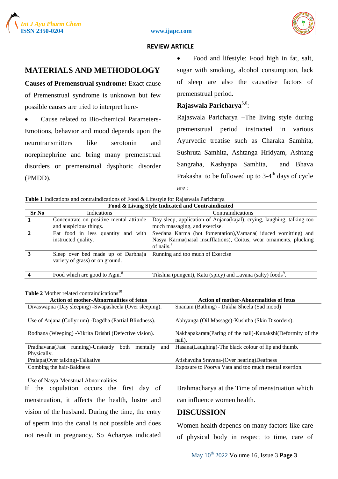





 **REVIEW ARTICLE**

# **MATERIALS AND METHODOLOGY**

**Causes of Premenstrual syndrome:** Exact cause of Premenstrual syndrome is unknown but few possible causes are tried to interpret here-

 Cause related to Bio-chemical Parameters-Emotions, behavior and mood depends upon the neurotransmitters like serotonin and norepinephrine and bring many premenstrual disorders or premenstrual dysphoric disorder (PMDD).

 Food and lifestyle: Food high in fat, salt, sugar with smoking, alcohol consumption, lack of sleep are also the causative factors of premenstrual period.

# **Rajaswala Paricharya**5,6 :

Rajaswala Paricharya –The living style during premenstrual period instructed in various Ayurvedic treatise such as Charaka Samhita, Sushruta Samhita, Ashtanga Hridyam, Ashtang Sangraha, Kashyapa Samhita, and Bhava Prakasha to be followed up to 3-4<sup>th</sup> days of cycle are :

| Table 1 Indications and contraindications of Food & Lifestyle for Rajaswala Paricharya |  |  |  |  |  |  |  |
|----------------------------------------------------------------------------------------|--|--|--|--|--|--|--|
|                                                                                        |  |  |  |  |  |  |  |

| Food & Living Style Indicated and Contraindicated                                                |                                                         |                                                                        |                                                                         |  |  |  |  |  |  |
|--------------------------------------------------------------------------------------------------|---------------------------------------------------------|------------------------------------------------------------------------|-------------------------------------------------------------------------|--|--|--|--|--|--|
| Sr No                                                                                            | <b>Indications</b>                                      | Contraindications                                                      |                                                                         |  |  |  |  |  |  |
| 1                                                                                                | Concentrate on positive mental attitude                 | Day sleep, application of Anjana(kajal), crying, laughing, talking too |                                                                         |  |  |  |  |  |  |
|                                                                                                  | and auspicious things.                                  | much massaging, and exercise.                                          |                                                                         |  |  |  |  |  |  |
| $\mathbf{2}$                                                                                     | Eat food in less quantity and with                      | Svedana Karma (hot fomentation), Vamana (iduced vomitting) and         |                                                                         |  |  |  |  |  |  |
|                                                                                                  | instructed quality.                                     | Nasya Karma(nasal insufflations), Coitus, wear ornaments, plucking     |                                                                         |  |  |  |  |  |  |
|                                                                                                  |                                                         | of nails. $7$                                                          |                                                                         |  |  |  |  |  |  |
| 3                                                                                                | Sleep over bed made up of Darbha(a                      |                                                                        | Running and too much of Exercise                                        |  |  |  |  |  |  |
|                                                                                                  | variety of grass) or on ground.                         |                                                                        |                                                                         |  |  |  |  |  |  |
|                                                                                                  |                                                         |                                                                        |                                                                         |  |  |  |  |  |  |
| $\overline{\mathbf{4}}$                                                                          | Food which are good to Agni. <sup>8</sup>               |                                                                        | Tikshna (pungent), Katu (spicy) and Lavana (salty) foods <sup>9</sup> . |  |  |  |  |  |  |
|                                                                                                  |                                                         |                                                                        |                                                                         |  |  |  |  |  |  |
| Table 2 Mother related contraindications <sup>10</sup>                                           |                                                         |                                                                        |                                                                         |  |  |  |  |  |  |
| <b>Action of mother-Abnormalities of fetus</b><br><b>Action of mother-Abnormalities of fetus</b> |                                                         |                                                                        |                                                                         |  |  |  |  |  |  |
|                                                                                                  | Divaswapna (Day sleeping) -Swapasheela (Over sleeping). |                                                                        | Snanam (Bathing) - Dukha Sheela (Sad mood)                              |  |  |  |  |  |  |
|                                                                                                  |                                                         |                                                                        |                                                                         |  |  |  |  |  |  |
|                                                                                                  | Use of Anjana (Collyrium) -Dagdha (Partial Blindness).  | Abhyanga (Oil Massage)-Kushtha (Skin Disorders).                       |                                                                         |  |  |  |  |  |  |
|                                                                                                  |                                                         |                                                                        |                                                                         |  |  |  |  |  |  |
|                                                                                                  | Rodhana (Weeping) - Vikrita Drishti (Defective vision). | Nakhapakarata(Paring of the nail)-Kunakshi(Deformity of the            |                                                                         |  |  |  |  |  |  |
|                                                                                                  |                                                         |                                                                        | nail).                                                                  |  |  |  |  |  |  |
|                                                                                                  | Pradhavana(Fast running)-Unsteady<br>both<br>mentally   | and                                                                    | Hasana(Laughing)-The black colour of lip and thumb.                     |  |  |  |  |  |  |
| Physically.                                                                                      |                                                         |                                                                        |                                                                         |  |  |  |  |  |  |
|                                                                                                  | Pralapa(Over talking)-Talkative                         | Atishavdha Sravana-(Over hearing)Deafness                              |                                                                         |  |  |  |  |  |  |
|                                                                                                  | Combing the hair-Baldness                               | Exposure to Poorva Vata and too much mental exertion.                  |                                                                         |  |  |  |  |  |  |
|                                                                                                  |                                                         |                                                                        |                                                                         |  |  |  |  |  |  |
| Use of Nasya-Menstrual Abnormalities                                                             |                                                         |                                                                        |                                                                         |  |  |  |  |  |  |

If the copulation occurs the first day of menstruation, it affects the health, lustre and vision of the husband. During the time, the entry of sperm into the canal is not possible and does not result in pregnancy. So Acharyas indicated

# Brahmacharya at the Time of menstruation which can influence women health.

## **DISCUSSION**

Women health depends on many factors like care of physical body in respect to time, care of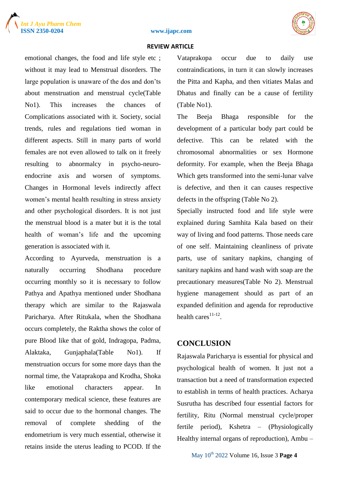





#### **REVIEW ARTICLE**

emotional changes, the food and life style etc ; without it may lead to Menstrual disorders. The large population is unaware of the dos and don'ts about menstruation and menstrual cycle(Table No1). This increases the chances of Complications associated with it. Society, social trends, rules and regulations tied woman in different aspects. Still in many parts of world females are not even allowed to talk on it freely resulting to abnormalcy in psycho-neuroendocrine axis and worsen of symptoms. Changes in Hormonal levels indirectly affect women's mental health resulting in stress anxiety and other psychological disorders. It is not just the menstrual blood is a mater but it is the total health of woman's life and the upcoming generation is associated with it.

According to Ayurveda, menstruation is a naturally occurring Shodhana procedure occurring monthly so it is necessary to follow Pathya and Apathya mentioned under Shodhana therapy which are similar to the Rajaswala Paricharya. After Ritukala, when the Shodhana occurs completely, the Raktha shows the color of pure Blood like that of gold, Indragopa, Padma, Alaktaka, Gunjaphala(Table No1). If menstruation occurs for some more days than the normal time, the Vataprakopa and Krodha, Shoka like emotional characters appear. In contemporary medical science, these features are said to occur due to the hormonal changes. The removal of complete shedding of the endometrium is very much essential, otherwise it retains inside the uterus leading to PCOD. If the

Vataprakopa occur due to daily use contraindications, in turn it can slowly increases the Pitta and Kapha, and then vitiates Malas and Dhatus and finally can be a cause of fertility (Table No1).

The Beeja Bhaga responsible for the development of a particular body part could be defective. This can be related with the chromosomal abnormalities or sex Hormone deformity. For example, when the Beeja Bhaga Which gets transformed into the semi-lunar valve is defective, and then it can causes respective defects in the offspring (Table No 2).

Specially instructed food and life style were explained during Samhita Kala based on their way of living and food patterns. Those needs care of one self. Maintaining cleanliness of private parts, use of sanitary napkins, changing of sanitary napkins and hand wash with soap are the precautionary measures(Table No 2). Menstrual hygiene management should as part of an expanded definition and agenda for reproductive health cares $11-12$ .

## **CONCLUSION**

Rajaswala Paricharya is essential for physical and psychological health of women. It just not a transaction but a need of transformation expected to establish in terms of health practices. Acharya Susrutha has described four essential factors for fertility, Ritu (Normal menstrual cycle/proper fertile period), Kshetra – (Physiologically Healthy internal organs of reproduction), Ambu –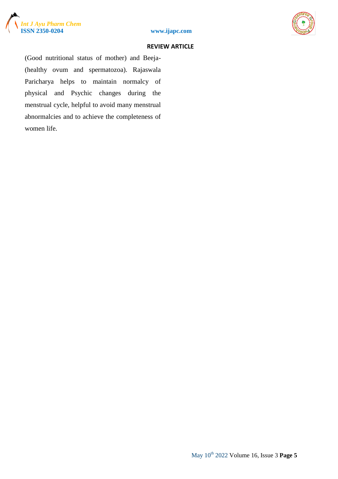





#### **REVIEW ARTICLE**

(Good nutritional status of mother) and Beeja- (healthy ovum and spermatozoa). Rajaswala Paricharya helps to maintain normalcy of physical and Psychic changes during the menstrual cycle, helpful to avoid many menstrual abnormalcies and to achieve the completeness of women life.